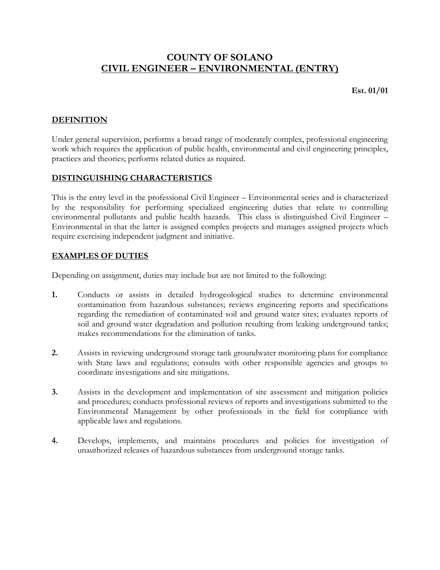# **COUNTY OF SOLANO CIVIL ENGINEER – ENVIRONMENTAL (ENTRY)**

**Est. 01/01**

# **DEFINITION**

Under general supervision, performs a broad range of moderately complex, professional engineering work which requires the application of public health, environmental and civil engineering principles, practices and theories; performs related duties as required.

# **DISTINGUISHING CHARACTERISTICS**

This is the entry level in the professional Civil Engineer – Environmental series and is characterized by the responsibility for performing specialized engineering duties that relate to controlling environmental pollutants and public health hazards. This class is distinguished Civil Engineer – Environmental in that the latter is assigned complex projects and manages assigned projects which require exercising independent judgment and initiative.

## **EXAMPLES OF DUTIES**

Depending on assignment, duties may include but are not limited to the following:

- **1.** Conducts or assists in detailed hydrogeological studies to determine environmental contamination from hazardous substances; reviews engineering reports and specifications regarding the remediation of contaminated soil and ground water sites; evaluates reports of soil and ground water degradation and pollution resulting from leaking underground tanks; makes recommendations for the elimination of tanks.
- **2.** Assists in reviewing underground storage tank groundwater monitoring plans for compliance with State laws and regulations; consults with other responsible agencies and groups to coordinate investigations and site mitigations.
- **3.** Assists in the development and implementation of site assessment and mitigation policies and procedures; conducts professional reviews of reports and investigations submitted to the Environmental Management by other professionals in the field for compliance with applicable laws and regulations.
- **4.** Develops, implements, and maintains procedures and policies for investigation of unauthorized releases of hazardous substances from underground storage tanks.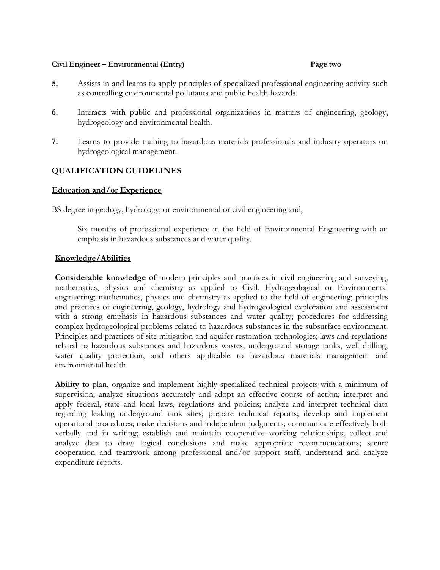#### **Civil Engineer – Environmental (Entry) Page two**

- **5.** Assists in and learns to apply principles of specialized professional engineering activity such as controlling environmental pollutants and public health hazards.
- **6.** Interacts with public and professional organizations in matters of engineering, geology, hydrogeology and environmental health.
- **7.** Learns to provide training to hazardous materials professionals and industry operators on hydrogeological management.

### **QUALIFICATION GUIDELINES**

#### **Education and/or Experience**

BS degree in geology, hydrology, or environmental or civil engineering and,

Six months of professional experience in the field of Environmental Engineering with an emphasis in hazardous substances and water quality.

#### **Knowledge/Abilities**

**Considerable knowledge of** modern principles and practices in civil engineering and surveying; mathematics, physics and chemistry as applied to Civil, Hydrogeological or Environmental engineering; mathematics, physics and chemistry as applied to the field of engineering; principles and practices of engineering, geology, hydrology and hydrogeological exploration and assessment with a strong emphasis in hazardous substances and water quality; procedures for addressing complex hydrogeological problems related to hazardous substances in the subsurface environment. Principles and practices of site mitigation and aquifer restoration technologies; laws and regulations related to hazardous substances and hazardous wastes; underground storage tanks, well drilling, water quality protection, and others applicable to hazardous materials management and environmental health.

**Ability to** plan, organize and implement highly specialized technical projects with a minimum of supervision; analyze situations accurately and adopt an effective course of action; interpret and apply federal, state and local laws, regulations and policies; analyze and interpret technical data regarding leaking underground tank sites; prepare technical reports; develop and implement operational procedures; make decisions and independent judgments; communicate effectively both verbally and in writing; establish and maintain cooperative working relationships; collect and analyze data to draw logical conclusions and make appropriate recommendations; secure cooperation and teamwork among professional and/or support staff; understand and analyze expenditure reports.